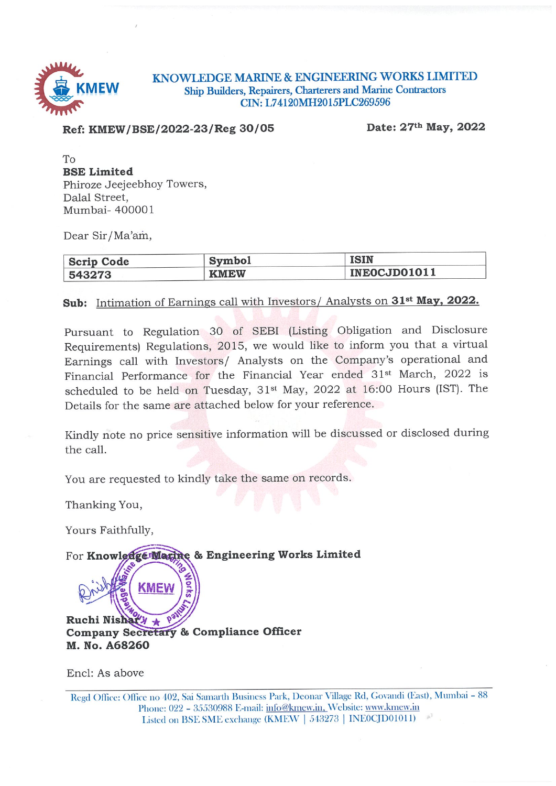

KNOWLEDGE MARINE & ENGINEERING WORKS LIMITED Ship Builders, Repairers, Charterers and Marine Contractors CIN: L74120MH2015PLC269596

Ref: KMEW/BSE/2022-23/Reg 30/05

Date: 27th May, 2022

To **BSE Limited** Phiroze Jeejeebhoy Towers, Dalal Street, Mumbai- 400001

Dear Sir/Ma'am,

| <b>Scrip Code</b> | <b>Symbol</b> | <b>ISIN</b>  |
|-------------------|---------------|--------------|
| 543273            | <b>KMEW</b>   | INEOCJD01011 |

### Sub: Intimation of Earnings call with Investors/ Analysts on 31<sup>st</sup> May, 2022.

Pursuant to Regulation 30 of SEBI (Listing Obligation and Disclosure Requirements) Regulations, 2015, we would like to inform you that a virtual Earnings call with Investors/ Analysts on the Company's operational and Financial Performance for the Financial Year ended 31<sup>st</sup> March, 2022 is scheduled to be held on Tuesday, 31<sup>st</sup> May, 2022 at 16:00 Hours (IST). The Details for the same are attached below for your reference.

Kindly note no price sensitive information will be discussed or disclosed during the call.

You are requested to kindly take the same on records.

Thanking You,

Yours Faithfully,

For Knowledge Matine & Engineering Works Limited

Ruchi Nishat  $\lambda$  \* Company Secretary & Compliance Officer M. No. A68260

**KMEW** 

Encl: As above

Regd Office: Office no 402, Sai Samarth Business Park, Deonar Village Rd, Govandi (East), Mumbai - 88 Phone: 022 - 35530988 E-mail: info@kmew.in, Website: www.kmew.in Listed on BSE SME exchange (KMEW | 543273 | INE0CJD01011)  $4e^3$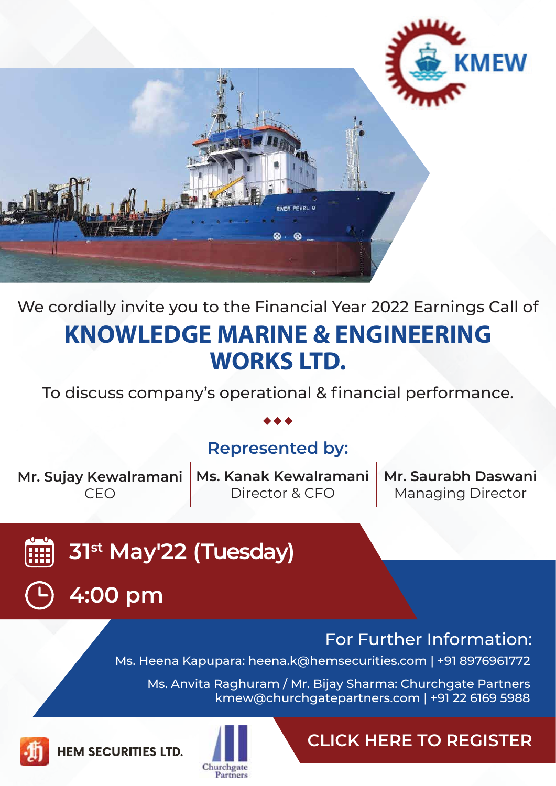

# We cordially invite you to the Financial Year 2022 Earnings Call of **KNOWLEDGE MARINE & ENGINEERING WORKS LTD.**

To discuss company's operational & financial performance.

## **Represented by:**

**Mr. Sujay Kewalramani** CEO

**Ms. Kanak Kewalramani** Director & CFO

**Mr. Saurabh Daswani** Managing Director

**31st May'22 (Tuesday)**



For Further Information: Ms. Heena Kapupara: [heena.k@hemsecurities.com](mailto:heena.k@hemsecurities.com) | [+91 8976961772](https://www.sejda.com/call/%2B918976961772)

Ms. Anvita Raghuram / Mr. Bijay Sharma: Churchgate Partners [kmew@churchgatepartners.com](mailto:kmew@churchgatepartners.com) | [+91 22 6169 5988](https://www.sejda.com/call/%2B912261695988)



**HEM SECURITIES LTD.**